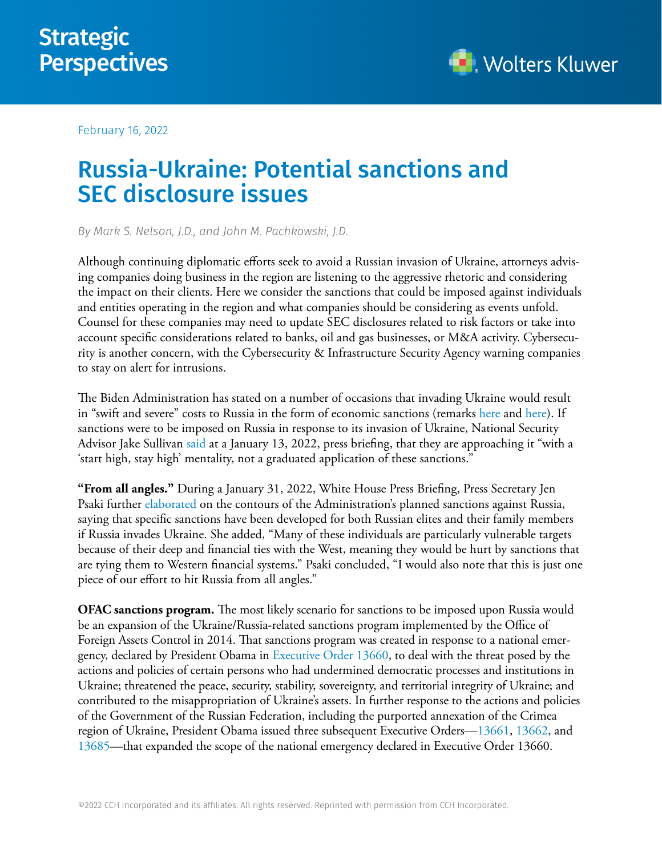

February 16, 2022

## Russia-Ukraine: Potential sanctions and SEC disclosure issues

*By Mark S. Nelson, J.D., and John M. Pachkowski, J.D.* 

Although continuing diplomatic efforts seek to avoid a Russian invasion of Ukraine, attorneys advising companies doing business in the region are listening to the aggressive rhetoric and considering the impact on their clients. Here we consider the sanctions that could be imposed against individuals and entities operating in the region and what companies should be considering as events unfold. Counsel for these companies may need to update SEC disclosures related to risk factors or take into account specific considerations related to banks, oil and gas businesses, or M&A activity. Cybersecurity is another concern, with the Cybersecurity & Infrastructure Security Agency warning companies to stay on alert for intrusions.

The Biden Administration has stated on a number of occasions that invading Ukraine would result in "swift and severe" costs to Russia in the form of economic sanctions (remarks [here](https://www.whitehouse.gov/briefing-room/speeches-remarks/2022/01/25/remarks-by-president-biden-in-press-gaggle-4/) and [here\)](https://www.whitehouse.gov/briefing-room/statements-releases/2022/02/07/remarks-by-president-biden-and-chancellor-scholz-of-the-federal-republic-of-germany-at-press-conference/). If sanctions were to be imposed on Russia in response to its invasion of Ukraine, National Security Advisor Jake Sullivan [said](https://www.whitehouse.gov/briefing-room/press-briefings/2022/01/13/press-briefing-by-press-secretary-jen-psaki-and-national-security-advisor-jake-sullivan-january-13-2022/) at a January 13, 2022, press briefing, that they are approaching it "with a 'start high, stay high' mentality, not a graduated application of these sanctions."

**"From all angles."** During a January 31, 2022, White House Press Briefing, Press Secretary Jen Psaki further [elaborated](https://www.whitehouse.gov/briefing-room/press-briefings/2022/01/31/press-briefing-by-press-secretary-jen-psaki-january-31-2022/) on the contours of the Administration's planned sanctions against Russia, saying that specific sanctions have been developed for both Russian elites and their family members if Russia invades Ukraine. She added, "Many of these individuals are particularly vulnerable targets because of their deep and financial ties with the West, meaning they would be hurt by sanctions that are tying them to Western financial systems." Psaki concluded, "I would also note that this is just one piece of our effort to hit Russia from all angles."

**OFAC sanctions program.** The most likely scenario for sanctions to be imposed upon Russia would be an expansion of the Ukraine/Russia-related sanctions program implemented by the Office of Foreign Assets Control in 2014. That sanctions program was created in response to a national emergency, declared by President Obama in [Executive Order 13660](https://home.treasury.gov/system/files/126/ukraine_eo.pdf), to deal with the threat posed by the actions and policies of certain persons who had undermined democratic processes and institutions in Ukraine; threatened the peace, security, stability, sovereignty, and territorial integrity of Ukraine; and contributed to the misappropriation of Ukraine's assets. In further response to the actions and policies of the Government of the Russian Federation, including the purported annexation of the Crimea region of Ukraine, President Obama issued three subsequent Executive Orders—[13661](https://home.treasury.gov/system/files/126/ukraine_eo2.pdf), [13662,](https://home.treasury.gov/system/files/126/ukraine_eo3.pdf) and [13685—](https://home.treasury.gov/system/files/126/ukraine_eo4.pdf)that expanded the scope of the national emergency declared in Executive Order 13660.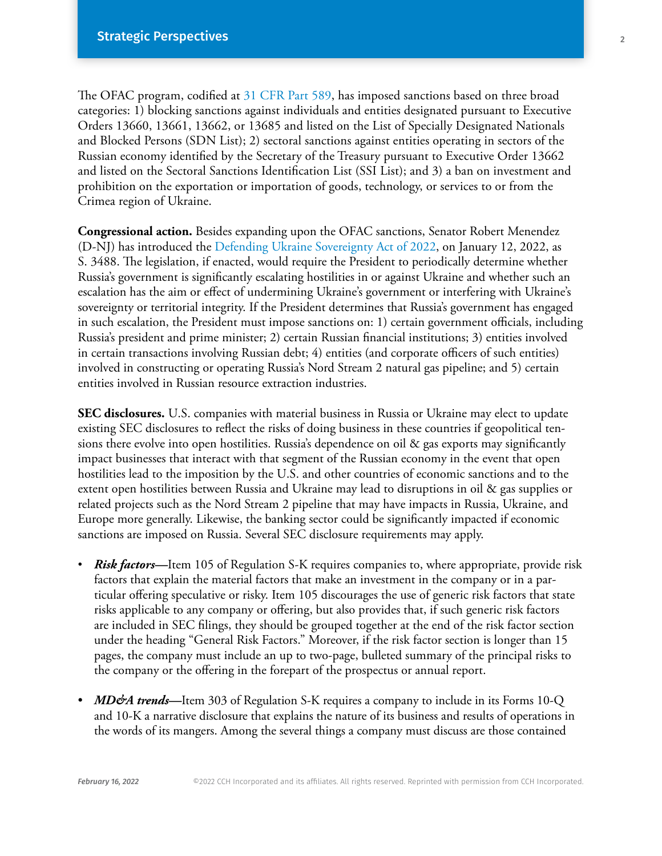The OFAC program, codified at [31 CFR Part 589,](https://www.ecfr.gov/current/title-31/subtitle-B/chapter-V/part-589) has imposed sanctions based on three broad categories: 1) blocking sanctions against individuals and entities designated pursuant to Executive Orders 13660, 13661, 13662, or 13685 and listed on the List of Specially Designated Nationals and Blocked Persons (SDN List); 2) sectoral sanctions against entities operating in sectors of the Russian economy identified by the Secretary of the Treasury pursuant to Executive Order 13662 and listed on the Sectoral Sanctions Identification List (SSI List); and 3) a ban on investment and prohibition on the exportation or importation of goods, technology, or services to or from the Crimea region of Ukraine.

**Congressional action.** Besides expanding upon the OFAC sanctions, Senator Robert Menendez (D-NJ) has introduced the [Defending Ukraine Sovereignty Act of 2022](https://www.congress.gov/117/bills/s3488/BILLS-117s3488pcs.pdf), on January 12, 2022, as S. 3488. The legislation, if enacted, would require the President to periodically determine whether Russia's government is significantly escalating hostilities in or against Ukraine and whether such an escalation has the aim or effect of undermining Ukraine's government or interfering with Ukraine's sovereignty or territorial integrity. If the President determines that Russia's government has engaged in such escalation, the President must impose sanctions on: 1) certain government officials, including Russia's president and prime minister; 2) certain Russian financial institutions; 3) entities involved in certain transactions involving Russian debt; 4) entities (and corporate officers of such entities) involved in constructing or operating Russia's Nord Stream 2 natural gas pipeline; and 5) certain entities involved in Russian resource extraction industries.

**SEC disclosures.** U.S. companies with material business in Russia or Ukraine may elect to update existing SEC disclosures to reflect the risks of doing business in these countries if geopolitical tensions there evolve into open hostilities. Russia's dependence on oil & gas exports may significantly impact businesses that interact with that segment of the Russian economy in the event that open hostilities lead to the imposition by the U.S. and other countries of economic sanctions and to the extent open hostilities between Russia and Ukraine may lead to disruptions in oil & gas supplies or related projects such as the Nord Stream 2 pipeline that may have impacts in Russia, Ukraine, and Europe more generally. Likewise, the banking sector could be significantly impacted if economic sanctions are imposed on Russia. Several SEC disclosure requirements may apply.

- *Risk factors—*Item 105 of Regulation S-K requires companies to, where appropriate, provide risk factors that explain the material factors that make an investment in the company or in a particular offering speculative or risky. Item 105 discourages the use of generic risk factors that state risks applicable to any company or offering, but also provides that, if such generic risk factors are included in SEC filings, they should be grouped together at the end of the risk factor section under the heading "General Risk Factors." Moreover, if the risk factor section is longer than 15 pages, the company must include an up to two-page, bulleted summary of the principal risks to the company or the offering in the forepart of the prospectus or annual report.
- *MD&A trends*—Item 303 of Regulation S-K requires a company to include in its Forms 10-Q and 10-K a narrative disclosure that explains the nature of its business and results of operations in the words of its mangers. Among the several things a company must discuss are those contained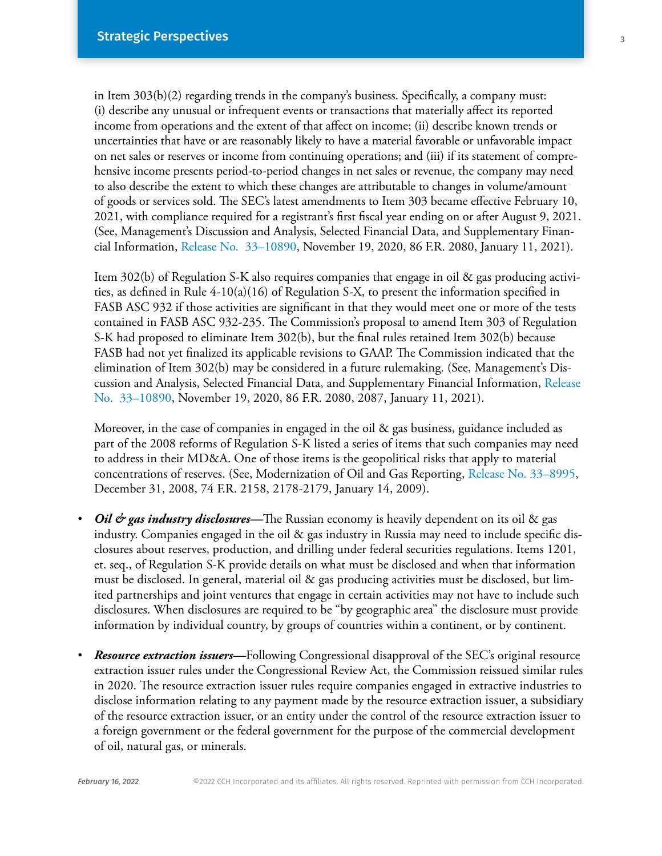in Item 303(b)(2) regarding trends in the company's business. Specifically, a company must: (i) describe any unusual or infrequent events or transactions that materially affect its reported income from operations and the extent of that affect on income; (ii) describe known trends or uncertainties that have or are reasonably likely to have a material favorable or unfavorable impact on net sales or reserves or income from continuing operations; and (iii) if its statement of comprehensive income presents period-to-period changes in net sales or revenue, the company may need to also describe the extent to which these changes are attributable to changes in volume/amount of goods or services sold. The SEC's latest amendments to Item 303 became effective February 10, 2021, with compliance required for a registrant's first fiscal year ending on or after August 9, 2021. (See, Management's Discussion and Analysis, Selected Financial Data, and Supplementary Financial Information, [Release No. 33–10890](https://www.govinfo.gov/content/pkg/FR-2021-01-11/pdf/2020-26090.pdf), November 19, 2020, 86 F.R. 2080, January 11, 2021).

Item 302(b) of Regulation S-K also requires companies that engage in oil & gas producing activities, as defined in Rule  $4-10(a)(16)$  of Regulation S-X, to present the information specified in FASB ASC 932 if those activities are significant in that they would meet one or more of the tests contained in FASB ASC 932-235. The Commission's proposal to amend Item 303 of Regulation S-K had proposed to eliminate Item 302(b), but the final rules retained Item 302(b) because FASB had not yet finalized its applicable revisions to GAAP. The Commission indicated that the elimination of Item 302(b) may be considered in a future rulemaking. (See, Management's Discussion and Analysis, Selected Financial Data, and Supplementary Financial Information, [Release](https://www.govinfo.gov/content/pkg/FR-2021-01-11/pdf/2020-26090.pdf)  [No. 33–10890,](https://www.govinfo.gov/content/pkg/FR-2021-01-11/pdf/2020-26090.pdf) November 19, 2020, 86 F.R. 2080, 2087, January 11, 2021).

Moreover, in the case of companies in engaged in the oil & gas business, guidance included as part of the 2008 reforms of Regulation S-K listed a series of items that such companies may need to address in their MD&A. One of those items is the geopolitical risks that apply to material concentrations of reserves. (See, Modernization of Oil and Gas Reporting, [Release No. 33–8995](https://www.sec.gov/rules/final/2009/33-8995fr.pdf), December 31, 2008, 74 F.R. 2158, 2178-2179, January 14, 2009).

- *Oil & gas industry disclosures—*The Russian economy is heavily dependent on its oil & gas industry. Companies engaged in the oil & gas industry in Russia may need to include specific disclosures about reserves, production, and drilling under federal securities regulations. Items 1201, et. seq., of Regulation S-K provide details on what must be disclosed and when that information must be disclosed. In general, material oil & gas producing activities must be disclosed, but limited partnerships and joint ventures that engage in certain activities may not have to include such disclosures. When disclosures are required to be "by geographic area" the disclosure must provide information by individual country, by groups of countries within a continent, or by continent.
- *Resource extraction issuers—*Following Congressional [disapproval](https://business.cch.com/srd/SRD-MSN-ResourceExtractionIssuerRuleDiaspproval-021417.pdf) of the SEC's original resource extraction issuer rules under the Congressional Review Act, the Commission reissued similar rules in 2020. The resource extraction issuer rules require companies engaged in extractive industries to disclose information relating to any payment made by the resource extraction issuer, a subsidiary of the resource extraction issuer, or an entity under the control of the resource extraction issuer to a foreign government or the federal government for the purpose of the commercial development of oil, natural gas, or minerals.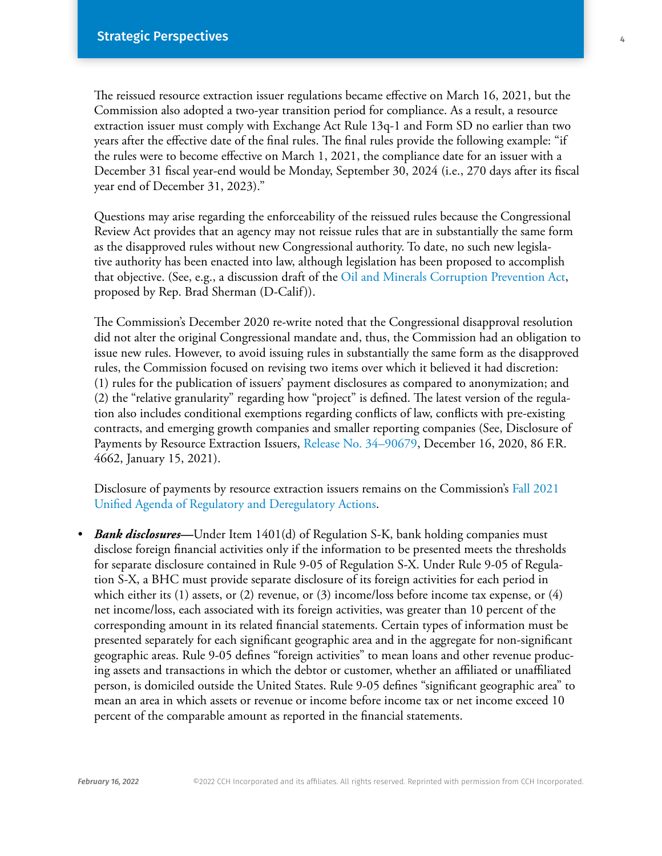The reissued resource extraction issuer regulations became effective on March 16, 2021, but the Commission also adopted a two-year transition period for compliance. As a result, a resource extraction issuer must comply with Exchange Act Rule 13q-1 and Form SD no earlier than two years after the effective date of the final rules. The final rules provide the following example: "if the rules were to become effective on March 1, 2021, the compliance date for an issuer with a December 31 fiscal year-end would be Monday, September 30, 2024 (i.e., 270 days after its fiscal year end of December 31, 2023)."

Questions may arise regarding the enforceability of the reissued rules because the Congressional Review Act provides that an agency may not reissue rules that are in substantially the same form as the disapproved rules without new Congressional authority. To date, no such new legislative authority has been enacted into law, although legislation has been proposed to accomplish that objective. (See, e.g., a discussion draft of the [Oil and Minerals Corruption Prevention Act,](https://financialservices.house.gov/uploadedfiles/02.25_bills-1177ih.pdf) proposed by Rep. Brad Sherman (D-Calif)).

The Commission's December 2020 re-write noted that the Congressional disapproval resolution did not alter the original Congressional mandate and, thus, the Commission had an obligation to issue new rules. However, to avoid issuing rules in substantially the same form as the disapproved rules, the Commission focused on revising two items over which it believed it had discretion: (1) rules for the publication of issuers' payment disclosures as compared to anonymization; and (2) the "relative granularity" regarding how "project" is defined. The latest version of the regulation also includes conditional exemptions regarding conflicts of law, conflicts with pre-existing contracts, and emerging growth companies and smaller reporting companies (See, Disclosure of Payments by Resource Extraction Issuers, [Release No. 34–90679,](https://www.govinfo.gov/content/pkg/FR-2021-01-15/pdf/2020-28103.pdf) December 16, 2020, 86 F.R. 4662, January 15, 2021).

Disclosure of payments by resource extraction issuers remains on the Commission's [Fall 2021](https://www.reginfo.gov/public/do/eAgendaMain?operation=OPERATION_GET_AGENCY_RULE_LIST¤tPub=true&agencyCode=&showStage=active&agencyCd=3235&csrf_token=1AB211DDC941A99452C05B6E780FA58E8C5BDA5BBCA1A42FC176A2F28F8A20106518DF6B7B05F630307025BA5FFEE9780C0B)  [Unified Agenda of Regulatory and Deregulatory Actions.](https://www.reginfo.gov/public/do/eAgendaMain?operation=OPERATION_GET_AGENCY_RULE_LIST¤tPub=true&agencyCode=&showStage=active&agencyCd=3235&csrf_token=1AB211DDC941A99452C05B6E780FA58E8C5BDA5BBCA1A42FC176A2F28F8A20106518DF6B7B05F630307025BA5FFEE9780C0B)

• *Bank disclosures—*Under Item 1401(d) of Regulation S-K, bank holding companies must disclose foreign financial activities only if the information to be presented meets the thresholds for separate disclosure contained in Rule 9-05 of Regulation S-X. Under Rule 9-05 of Regulation S-X, a BHC must provide separate disclosure of its foreign activities for each period in which either its  $(1)$  assets, or  $(2)$  revenue, or  $(3)$  income/loss before income tax expense, or  $(4)$ net income/loss, each associated with its foreign activities, was greater than 10 percent of the corresponding amount in its related financial statements. Certain types of information must be presented separately for each significant geographic area and in the aggregate for non-significant geographic areas. Rule 9-05 defines "foreign activities" to mean loans and other revenue producing assets and transactions in which the debtor or customer, whether an affiliated or unaffiliated person, is domiciled outside the United States. Rule 9-05 defines "significant geographic area" to mean an area in which assets or revenue or income before income tax or net income exceed 10 percent of the comparable amount as reported in the financial statements.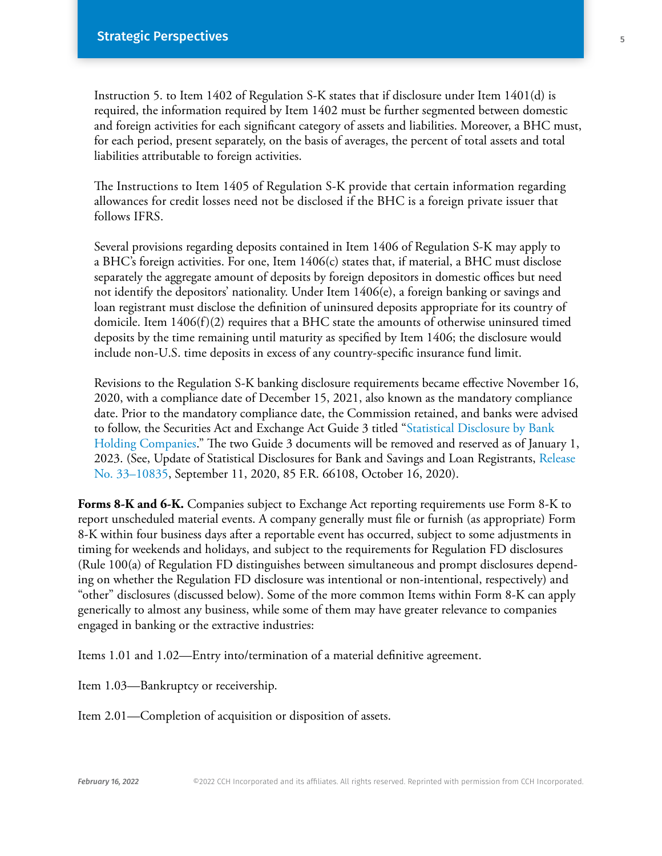Instruction 5. to Item 1402 of Regulation S-K states that if disclosure under Item 1401(d) is required, the information required by Item 1402 must be further segmented between domestic and foreign activities for each significant category of assets and liabilities. Moreover, a BHC must, for each period, present separately, on the basis of averages, the percent of total assets and total liabilities attributable to foreign activities.

The Instructions to Item 1405 of Regulation S-K provide that certain information regarding allowances for credit losses need not be disclosed if the BHC is a foreign private issuer that follows IFRS.

Several provisions regarding deposits contained in Item 1406 of Regulation S-K may apply to a BHC's foreign activities. For one, Item 1406(c) states that, if material, a BHC must disclose separately the aggregate amount of deposits by foreign depositors in domestic offices but need not identify the depositors' nationality. Under Item 1406(e), a foreign banking or savings and loan registrant must disclose the definition of uninsured deposits appropriate for its country of domicile. Item  $1406(f)(2)$  requires that a BHC state the amounts of otherwise uninsured timed deposits by the time remaining until maturity as specified by Item 1406; the disclosure would include non-U.S. time deposits in excess of any country-specific insurance fund limit.

Revisions to the Regulation S-K banking disclosure requirements became effective November 16, 2020, with a compliance date of December 15, 2021, also known as the mandatory compliance date. Prior to the mandatory compliance date, the Commission retained, and banks were advised to follow, the Securities Act and Exchange Act Guide 3 titled ["Statistical Disclosure by Bank](https://business.cch.com/srd/Release—Guide3—StatisticalDisclosurebyBankHoldingCompanies;GeneralInstructionsSecuritiesandExchangeCommission.pdf)  [Holding Companies.](https://business.cch.com/srd/Release—Guide3—StatisticalDisclosurebyBankHoldingCompanies;GeneralInstructionsSecuritiesandExchangeCommission.pdf)" The two Guide 3 documents will be removed and reserved as of January 1, 2023. (See, Update of Statistical Disclosures for Bank and Savings and Loan Registrants, [Release](https://www.govinfo.gov/content/pkg/FR-2020-10-16/pdf/2020-20655.pdf)  [No. 33–10835,](https://www.govinfo.gov/content/pkg/FR-2020-10-16/pdf/2020-20655.pdf) September 11, 2020, 85 F.R. 66108, October 16, 2020).

**Forms 8-K and 6-K.** Companies subject to Exchange Act reporting requirements use Form 8-K to report unscheduled material events. A company generally must file or furnish (as appropriate) Form 8-K within four business days after a reportable event has occurred, subject to some adjustments in timing for weekends and holidays, and subject to the requirements for Regulation FD disclosures (Rule 100(a) of Regulation FD distinguishes between simultaneous and prompt disclosures depending on whether the Regulation FD disclosure was intentional or non-intentional, respectively) and "other" disclosures (discussed below). Some of the more common Items within Form 8-K can apply generically to almost any business, while some of them may have greater relevance to companies engaged in banking or the extractive industries:

Items 1.01 and 1.02—Entry into/termination of a material definitive agreement.

Item 1.03—Bankruptcy or receivership.

Item 2.01—Completion of acquisition or disposition of assets.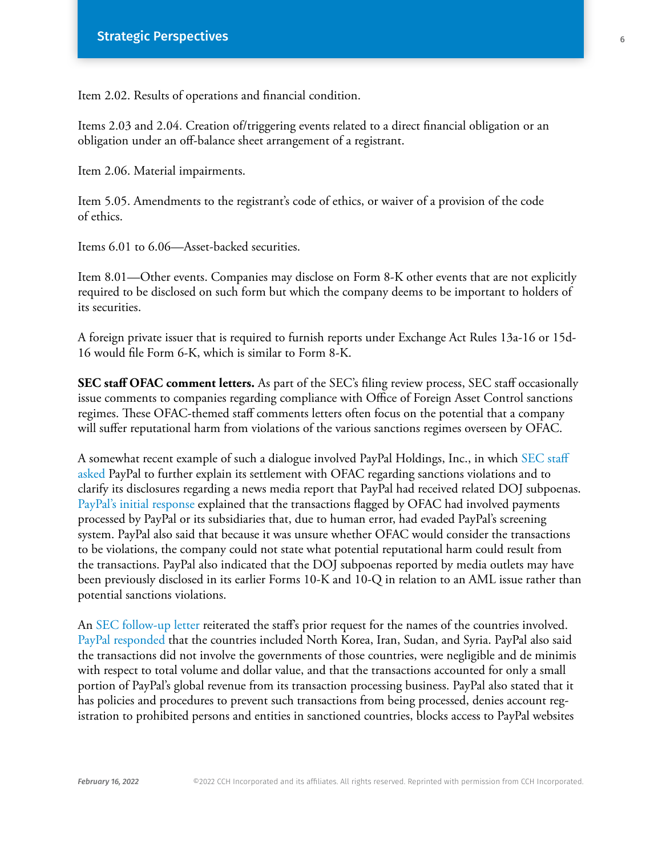Item 2.02. Results of operations and financial condition.

Items 2.03 and 2.04. Creation of/triggering events related to a direct financial obligation or an obligation under an off-balance sheet arrangement of a registrant.

Item 2.06. Material impairments.

Item 5.05. Amendments to the registrant's code of ethics, or waiver of a provision of the code of ethics.

Items 6.01 to 6.06—Asset-backed securities.

Item 8.01—Other events. Companies may disclose on Form 8-K other events that are not explicitly required to be disclosed on such form but which the company deems to be important to holders of its securities.

A foreign private issuer that is required to furnish reports under Exchange Act Rules 13a-16 or 15d-16 would file Form 6-K, which is similar to Form 8-K.

**SEC staff OFAC comment letters.** As part of the SEC's filing review process, SEC staff occasionally issue comments to companies regarding compliance with Office of Foreign Asset Control sanctions regimes. These OFAC-themed staff comments letters often focus on the potential that a company will suffer reputational harm from violations of the various sanctions regimes overseen by OFAC.

A somewhat recent example of such a dialogue involved PayPal Holdings, Inc., in which [SEC staff](https://www.sec.gov/Archives/edgar/data/0001633917/000000000019009683/filename1.pdf)  [asked](https://www.sec.gov/Archives/edgar/data/0001633917/000000000019009683/filename1.pdf) PayPal to further explain its settlement with OFAC regarding sanctions violations and to clarify its disclosures regarding a news media report that PayPal had received related DOJ subpoenas. [PayPal's initial response](https://www.sec.gov/Archives/edgar/data/0001633917/000163391719000166/filename1.htm) explained that the transactions flagged by OFAC had involved payments processed by PayPal or its subsidiaries that, due to human error, had evaded PayPal's screening system. PayPal also said that because it was unsure whether OFAC would consider the transactions to be violations, the company could not state what potential reputational harm could result from the transactions. PayPal also indicated that the DOJ subpoenas reported by media outlets may have been previously disclosed in its earlier Forms 10-K and 10-Q in relation to an AML issue rather than potential sanctions violations.

An [SEC follow-up letter](https://www.sec.gov/Archives/edgar/data/0001633917/000000000019010564/filename1.pdf) reiterated the staff's prior request for the names of the countries involved. [PayPal responded](https://www.sec.gov/Archives/edgar/data/0001633917/000163391719000170/filename1.htm) that the countries included North Korea, Iran, Sudan, and Syria. PayPal also said the transactions did not involve the governments of those countries, were negligible and de minimis with respect to total volume and dollar value, and that the transactions accounted for only a small portion of PayPal's global revenue from its transaction processing business. PayPal also stated that it has policies and procedures to prevent such transactions from being processed, denies account registration to prohibited persons and entities in sanctioned countries, blocks access to PayPal websites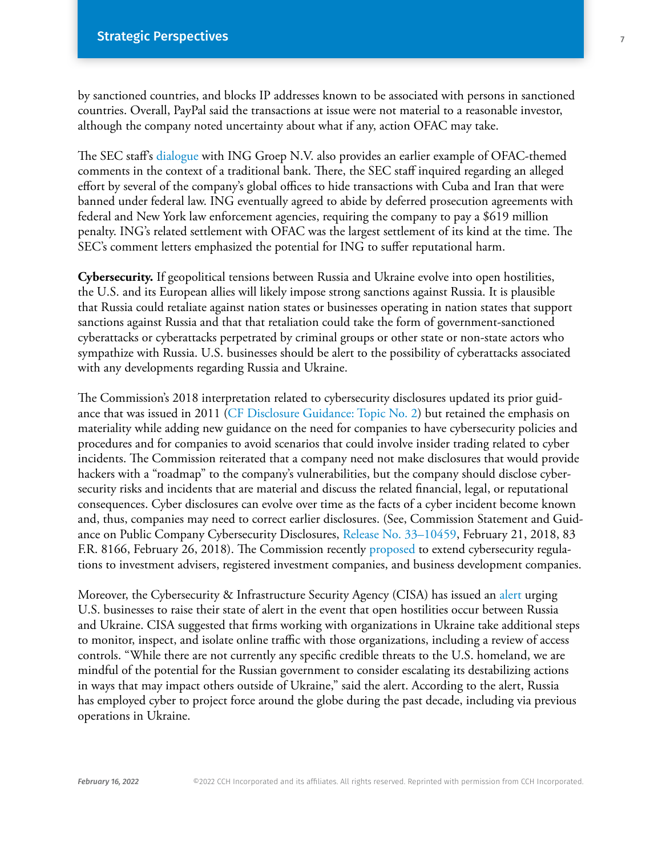by sanctioned countries, and blocks IP addresses known to be associated with persons in sanctioned countries. Overall, PayPal said the transactions at issue were not material to a reasonable investor, although the company noted uncertainty about what if any, action OFAC may take.

The SEC staff's [dialogue](https://business.cch.com/srd/SRD-MSN-INGStaffComments-03242014.pdf) with ING Groep N.V. also provides an earlier example of OFAC-themed comments in the context of a traditional bank. There, the SEC staff inquired regarding an alleged effort by several of the company's global offices to hide transactions with Cuba and Iran that were banned under federal law. ING eventually agreed to abide by deferred prosecution agreements with federal and New York law enforcement agencies, requiring the company to pay a \$619 million penalty. ING's related settlement with OFAC was the largest settlement of its kind at the time. The SEC's comment letters emphasized the potential for ING to suffer reputational harm.

**Cybersecurity.** If geopolitical tensions between Russia and Ukraine evolve into open hostilities, the U.S. and its European allies will likely impose strong sanctions against Russia. It is plausible that Russia could retaliate against nation states or businesses operating in nation states that support sanctions against Russia and that that retaliation could take the form of government-sanctioned cyberattacks or cyberattacks perpetrated by criminal groups or other state or non-state actors who sympathize with Russia. U.S. businesses should be alert to the possibility of cyberattacks associated with any developments regarding Russia and Ukraine.

The Commission's 2018 interpretation related to cybersecurity disclosures updated its prior guidance that was issued in 2011 ([CF Disclosure Guidance: Topic No. 2](https://www.sec.gov/divisions/corpfin/guidance/cfguidance-topic2.htm)) but retained the emphasis on materiality while adding new guidance on the need for companies to have cybersecurity policies and procedures and for companies to avoid scenarios that could involve insider trading related to cyber incidents. The Commission reiterated that a company need not make disclosures that would provide hackers with a "roadmap" to the company's vulnerabilities, but the company should disclose cybersecurity risks and incidents that are material and discuss the related financial, legal, or reputational consequences. Cyber disclosures can evolve over time as the facts of a cyber incident become known and, thus, companies may need to correct earlier disclosures. (See, Commission Statement and Guidance on Public Company Cybersecurity Disclosures, [Release No. 33–10459](https://www.govinfo.gov/content/pkg/FR-2018-02-26/pdf/2018-03858.pdf), February 21, 2018, 83 F.R. 8166, February 26, 2018). The Commission recently [proposed](https://www.sec.gov/rules/proposed/2022/33-11028.pdf) to extend cybersecurity regulations to investment advisers, registered investment companies, and business development companies.

Moreover, the Cybersecurity & Infrastructure Security Agency (CISA) has issued an [alert](https://www.cisa.gov/shields-up) urging U.S. businesses to raise their state of alert in the event that open hostilities occur between Russia and Ukraine. CISA suggested that firms working with organizations in Ukraine take additional steps to monitor, inspect, and isolate online traffic with those organizations, including a review of access controls. "While there are not currently any specific credible threats to the U.S. homeland, we are mindful of the potential for the Russian government to consider escalating its destabilizing actions in ways that may impact others outside of Ukraine," said the alert. According to the alert, Russia has employed cyber to project force around the globe during the past decade, including via previous operations in Ukraine.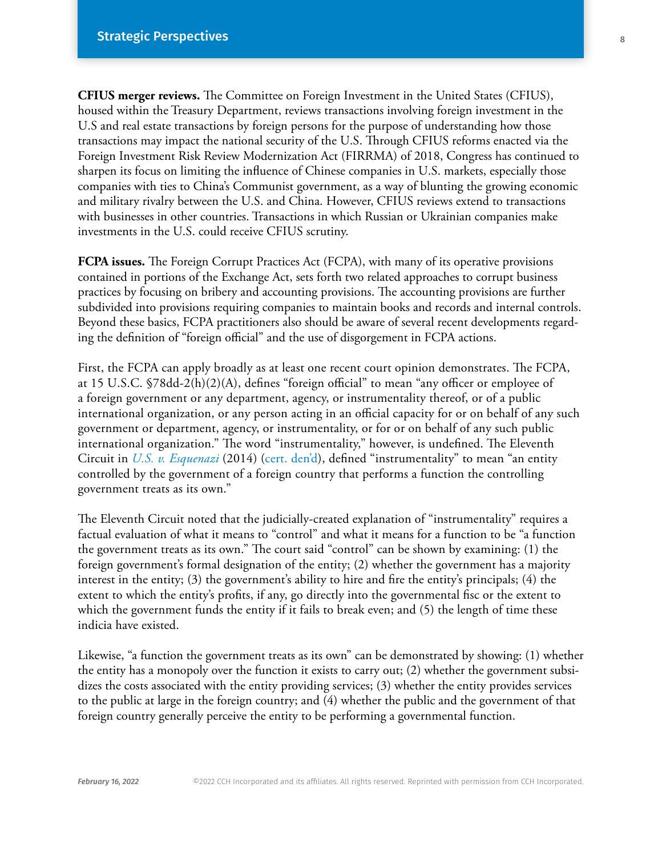**CFIUS merger reviews.** The Committee on Foreign Investment in the United States (CFIUS), housed within the Treasury Department, reviews transactions involving foreign investment in the U.S and real estate transactions by foreign persons for the purpose of understanding how those transactions may impact the national security of the U.S. Through CFIUS reforms enacted via the Foreign Investment Risk Review Modernization Act (FIRRMA) of 2018, Congress has continued to sharpen its focus on limiting the influence of Chinese companies in U.S. markets, especially those companies with ties to China's Communist government, as a way of blunting the growing economic and military rivalry between the U.S. and China. However, CFIUS reviews extend to transactions with businesses in other countries. Transactions in which Russian or Ukrainian companies make investments in the U.S. could receive CFIUS scrutiny.

**FCPA issues.** The Foreign Corrupt Practices Act (FCPA), with many of its operative provisions contained in portions of the Exchange Act, sets forth two related approaches to corrupt business practices by focusing on bribery and accounting provisions. The accounting provisions are further subdivided into provisions requiring companies to maintain books and records and internal controls. Beyond these basics, FCPA practitioners also should be aware of several recent developments regarding the definition of "foreign official" and the use of disgorgement in FCPA actions.

First, the FCPA can apply broadly as at least one recent court opinion demonstrates. The FCPA, at 15 U.S.C. §78dd-2(h)(2)(A), defines "foreign official" to mean "any officer or employee of a foreign government or any department, agency, or instrumentality thereof, or of a public international organization, or any person acting in an official capacity for or on behalf of any such government or department, agency, or instrumentality, or for or on behalf of any such public international organization." The word "instrumentality," however, is undefined. The Eleventh Circuit in *[U.S. v. Esquenazi](https://business.cch.com/srd/US-v-Esquenazi.pdf)* (2014) [\(cert. den'd\)](https://www.supremecourt.gov/orders/courtorders/100614zor.pdf), defined "instrumentality" to mean "an entity controlled by the government of a foreign country that performs a function the controlling government treats as its own."

The Eleventh Circuit noted that the judicially-created explanation of "instrumentality" requires a factual evaluation of what it means to "control" and what it means for a function to be "a function the government treats as its own." The court said "control" can be shown by examining: (1) the foreign government's formal designation of the entity; (2) whether the government has a majority interest in the entity; (3) the government's ability to hire and fire the entity's principals; (4) the extent to which the entity's profits, if any, go directly into the governmental fisc or the extent to which the government funds the entity if it fails to break even; and (5) the length of time these indicia have existed.

Likewise, "a function the government treats as its own" can be demonstrated by showing: (1) whether the entity has a monopoly over the function it exists to carry out; (2) whether the government subsidizes the costs associated with the entity providing services; (3) whether the entity provides services to the public at large in the foreign country; and (4) whether the public and the government of that foreign country generally perceive the entity to be performing a governmental function.